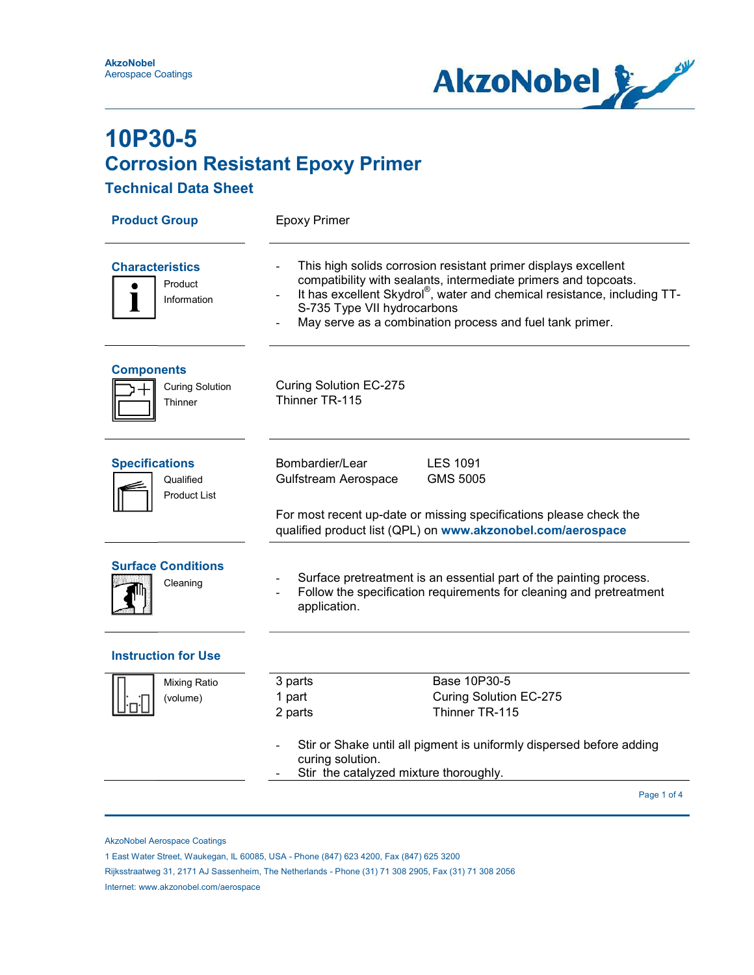

#### Technical Data Sheet

| <b>Epoxy Primer</b>                                                                                                                                                                                                                                                                                     |                                                                     |  |  |
|---------------------------------------------------------------------------------------------------------------------------------------------------------------------------------------------------------------------------------------------------------------------------------------------------------|---------------------------------------------------------------------|--|--|
| This high solids corrosion resistant primer displays excellent<br>compatibility with sealants, intermediate primers and topcoats.<br>It has excellent Skydrol®, water and chemical resistance, including TT-<br>S-735 Type VII hydrocarbons<br>May serve as a combination process and fuel tank primer. |                                                                     |  |  |
| <b>Curing Solution EC-275</b><br>Thinner TR-115                                                                                                                                                                                                                                                         |                                                                     |  |  |
| Bombardier/Lear<br><b>LES 1091</b><br>Gulfstream Aerospace<br><b>GMS 5005</b>                                                                                                                                                                                                                           |                                                                     |  |  |
| For most recent up-date or missing specifications please check the<br>qualified product list (QPL) on www.akzonobel.com/aerospace                                                                                                                                                                       |                                                                     |  |  |
| Surface pretreatment is an essential part of the painting process.<br>Follow the specification requirements for cleaning and pretreatment<br>application.                                                                                                                                               |                                                                     |  |  |
|                                                                                                                                                                                                                                                                                                         |                                                                     |  |  |
| Base 10P30-5<br>3 parts                                                                                                                                                                                                                                                                                 |                                                                     |  |  |
| 1 part<br><b>Curing Solution EC-275</b>                                                                                                                                                                                                                                                                 |                                                                     |  |  |
|                                                                                                                                                                                                                                                                                                         |                                                                     |  |  |
| Stir or Shake until all pigment is uniformly dispersed before adding<br>curing solution.                                                                                                                                                                                                                |                                                                     |  |  |
|                                                                                                                                                                                                                                                                                                         | Page 1 of 4                                                         |  |  |
|                                                                                                                                                                                                                                                                                                         | Thinner TR-115<br>2 parts<br>Stir the catalyzed mixture thoroughly. |  |  |

AkzoNobel Aerospace Coatings

Internet: www.akzonobel.com/aerospace

 <sup>1</sup> East Water Street, Waukegan, IL 60085, USA - Phone (847) 623 4200, Fax (847) 625 3200

Rijksstraatweg 31, 2171 AJ Sassenheim, The Netherlands - Phone (31) 71 308 2905, Fax (31) 71 308 2056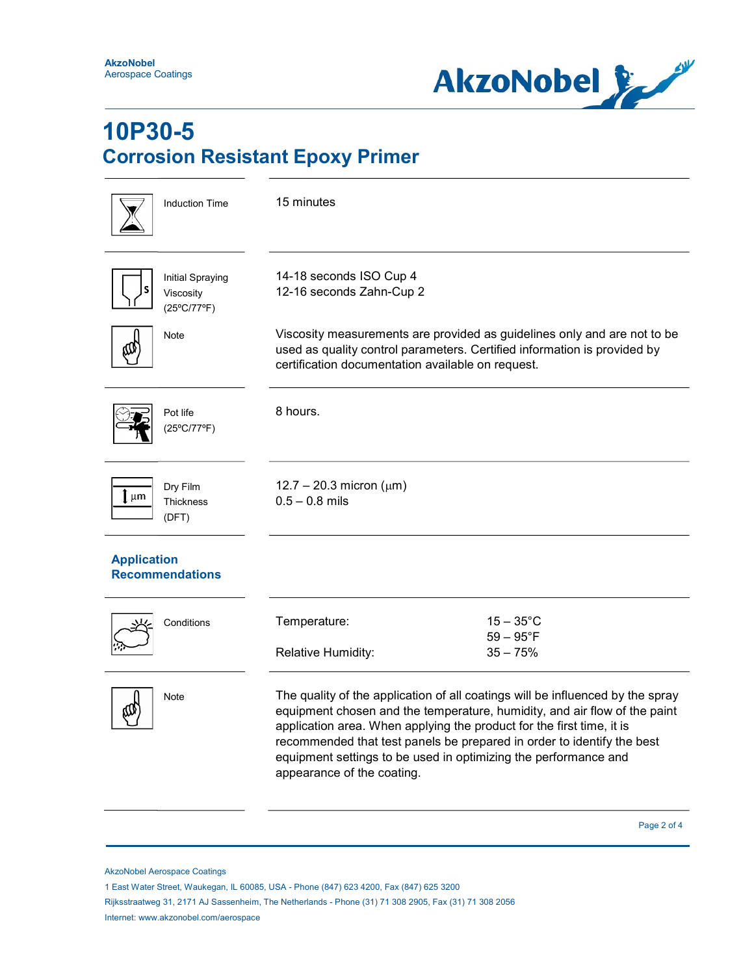

| <b>Induction Time</b>                         | 15 minutes                                                                                                                                                                                                                                                                                                                                                                                                      |  |
|-----------------------------------------------|-----------------------------------------------------------------------------------------------------------------------------------------------------------------------------------------------------------------------------------------------------------------------------------------------------------------------------------------------------------------------------------------------------------------|--|
| Initial Spraying<br>Viscosity<br>(25°C/77°F)  | 14-18 seconds ISO Cup 4<br>12-16 seconds Zahn-Cup 2                                                                                                                                                                                                                                                                                                                                                             |  |
| Note                                          | Viscosity measurements are provided as guidelines only and are not to be<br>used as quality control parameters. Certified information is provided by<br>certification documentation available on request.                                                                                                                                                                                                       |  |
| Pot life<br>(25°C/77°F)                       | 8 hours.                                                                                                                                                                                                                                                                                                                                                                                                        |  |
| Dry Film<br>  µm<br><b>Thickness</b><br>(DFT) | 12.7 – 20.3 micron ( $\mu$ m)<br>$0.5 - 0.8$ mils                                                                                                                                                                                                                                                                                                                                                               |  |
| <b>Application</b><br><b>Recommendations</b>  |                                                                                                                                                                                                                                                                                                                                                                                                                 |  |
| Conditions                                    | $15-35^{\circ}$ C<br>Temperature:<br>$59 - 95^{\circ}F$<br>$35 - 75%$<br>Relative Humidity:                                                                                                                                                                                                                                                                                                                     |  |
| <b>Note</b>                                   | The quality of the application of all coatings will be influenced by the spray<br>equipment chosen and the temperature, humidity, and air flow of the paint<br>application area. When applying the product for the first time, it is<br>recommended that test panels be prepared in order to identify the best<br>equipment settings to be used in optimizing the performance and<br>appearance of the coating. |  |

Page 2 of 4 and 2 of 4 and 2 of 4 and 2 of 4 and 2 of 4 and 2 of 4 and 2 of 4 and 2 of 4

AkzoNobel Aerospace Coatings

 Rijksstraatweg 31, 2171 AJ Sassenheim, The Netherlands - Phone (31) 71 308 2905, Fax (31) 71 308 2056 Internet: www.akzonobel.com/aerospace

 <sup>1</sup> East Water Street, Waukegan, IL 60085, USA - Phone (847) 623 4200, Fax (847) 625 3200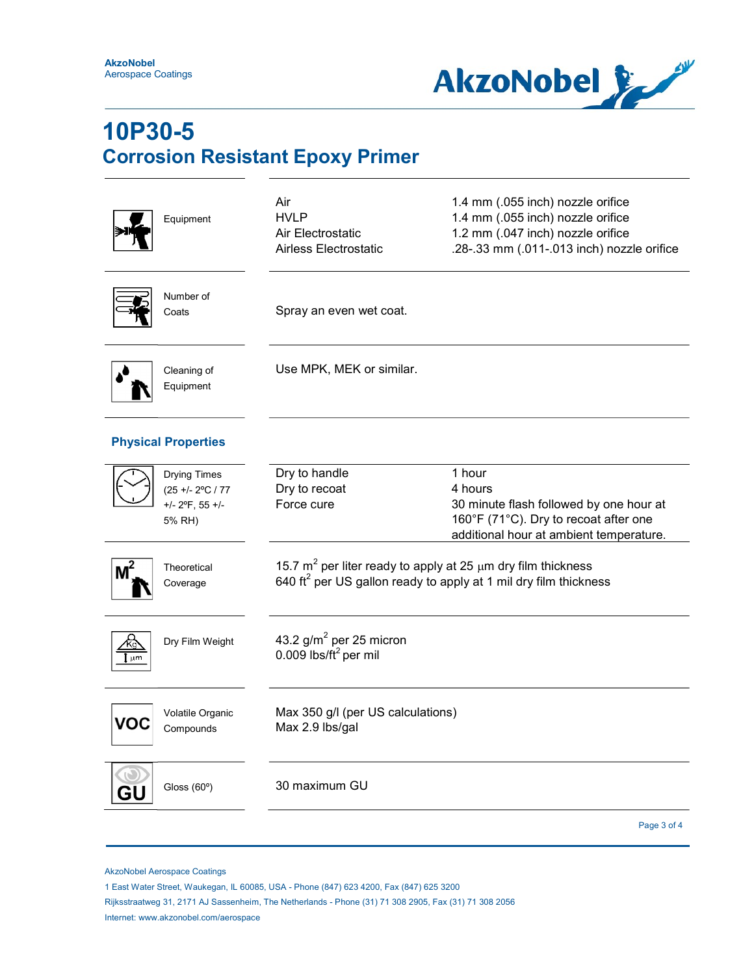

| Equipment                                                               | Air<br><b>HVLP</b><br>Air Electrostatic<br>Airless Electrostatic                                                                                     | 1.4 mm (.055 inch) nozzle orifice<br>1.4 mm (.055 inch) nozzle orifice<br>1.2 mm (.047 inch) nozzle orifice<br>.28-.33 mm (.011-.013 inch) nozzle orifice |  |
|-------------------------------------------------------------------------|------------------------------------------------------------------------------------------------------------------------------------------------------|-----------------------------------------------------------------------------------------------------------------------------------------------------------|--|
| Number of<br>Coats                                                      | Spray an even wet coat.                                                                                                                              |                                                                                                                                                           |  |
| Cleaning of<br>Equipment                                                | Use MPK, MEK or similar.                                                                                                                             |                                                                                                                                                           |  |
| <b>Physical Properties</b>                                              |                                                                                                                                                      |                                                                                                                                                           |  |
| <b>Drying Times</b><br>(25 +/- 2°C / 77<br>$+/- 2$ °F, 55 +/-<br>5% RH) | Dry to handle<br>Dry to recoat<br>Force cure                                                                                                         | 1 hour<br>4 hours<br>30 minute flash followed by one hour at<br>160°F (71°C). Dry to recoat after one<br>additional hour at ambient temperature.          |  |
| Theoretical<br>Coverage                                                 | 15.7 $m^2$ per liter ready to apply at 25 $\mu$ m dry film thickness<br>640 ft <sup>2</sup> per US gallon ready to apply at 1 mil dry film thickness |                                                                                                                                                           |  |
| Dry Film Weight<br>Κg<br>µm                                             | 43.2 $g/m^2$ per 25 micron<br>0.009 lbs/ft <sup>2</sup> per mil                                                                                      |                                                                                                                                                           |  |
| Volatile Organic<br>Compounds                                           | Max 350 g/l (per US calculations)<br>Max 2.9 lbs/gal                                                                                                 |                                                                                                                                                           |  |
| Gloss (60°)<br>GL                                                       | 30 maximum GU                                                                                                                                        |                                                                                                                                                           |  |
|                                                                         |                                                                                                                                                      | Page 3 of 4                                                                                                                                               |  |

AkzoNobel Aerospace Coatings

1 East Water Street, Waukegan, IL 60085, USA - Phone (847) 623 4200, Fax (847) 625 3200

 Rijksstraatweg 31, 2171 AJ Sassenheim, The Netherlands - Phone (31) 71 308 2905, Fax (31) 71 308 2056 Internet: www.akzonobel.com/aerospace